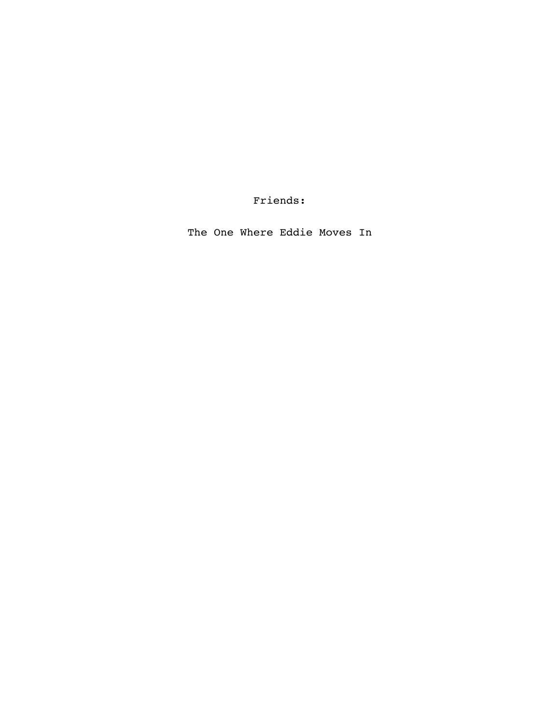Friends:

The One Where Eddie Moves In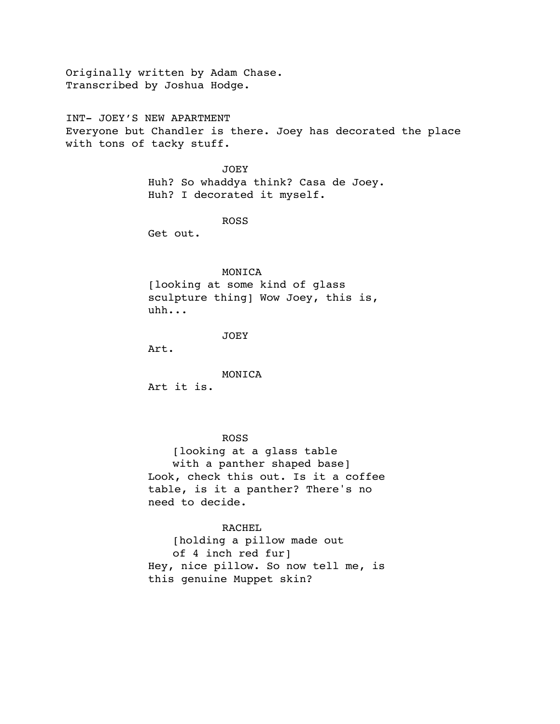Originally written by Adam Chase. Transcribed by Joshua Hodge.

INT- JOEY'S NEW APARTMENT Everyone but Chandler is there. Joey has decorated the place with tons of tacky stuff.

> JOEY Huh? So whaddya think? Casa de Joey. Huh? I decorated it myself.

> > ROSS

Get out.

## MONICA

[looking at some kind of glass sculpture thing] Wow Joey, this is, uhh...

JOEY

Art.

MONICA

Art it is.

## ROSS

[looking at a glass table with a panther shaped base] Look, check this out. Is it a coffee table, is it a panther? There's no need to decide.

# RACHEL

[holding a pillow made out of 4 inch red fur] Hey, nice pillow. So now tell me, is this genuine Muppet skin?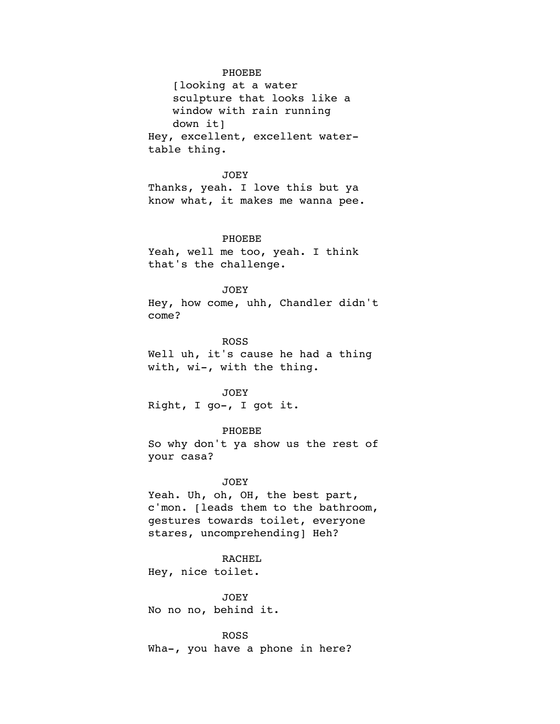## PHOEBE

[looking at a water sculpture that looks like a window with rain running down it] Hey, excellent, excellent watertable thing.

#### JOEY

Thanks, yeah. I love this but ya know what, it makes me wanna pee.

### PHOEBE

Yeah, well me too, yeah. I think that's the challenge.

## JOEY

Hey, how come, uhh, Chandler didn't come?

### ROSS

Well uh, it's cause he had a thing with, wi-, with the thing.

#### JOEY

Right, I go-, I got it.

### PHOEBE

So why don't ya show us the rest of your casa?

## JOEY

Yeah. Uh, oh, OH, the best part, c'mon. [leads them to the bathroom, gestures towards toilet, everyone stares, uncomprehending] Heh?

## RACHEL

Hey, nice toilet.

JOEY No no no, behind it.

ROSS Wha-, you have a phone in here?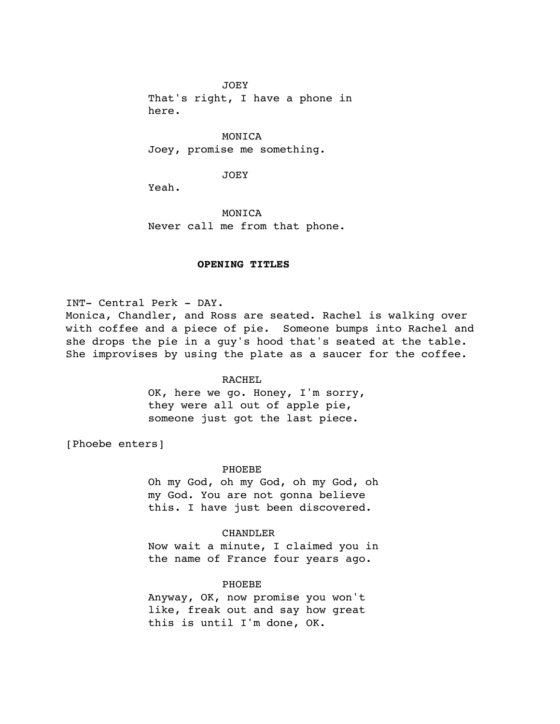JOEY

That's right, I have a phone in here.

MONICA Joey, promise me something.

### JOEY

Yeah.

MONICA Never call me from that phone.

## !!! **OPENING TITLES**

INT- Central Perk - DAY. Monica, Chandler, and Ross are seated. Rachel is walking over with coffee and a piece of pie. Someone bumps into Rachel and she drops the pie in a guy's hood that's seated at the table. She improvises by using the plate as a saucer for the coffee.

## RACHEL

OK, here we go. Honey, I'm sorry, they were all out of apple pie, someone just got the last piece.

[Phoebe enters]

### PHOEBE

Oh my God, oh my God, oh my God, oh my God. You are not gonna believe this. I have just been discovered.

## CHANDLER

Now wait a minute, I claimed you in the name of France four years ago.

## PHOEBE

Anyway, OK, now promise you won't like, freak out and say how great this is until I'm done, OK.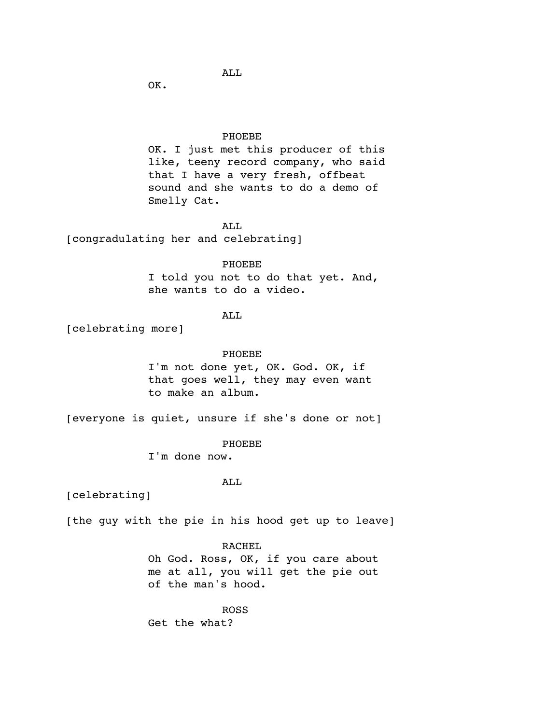# ALL

OK.

## PHOEBE

OK. I just met this producer of this like, teeny record company, who said that I have a very fresh, offbeat sound and she wants to do a demo of Smelly Cat.

# ALL

[congradulating her and celebrating]

PHOEBE I told you not to do that yet. And, she wants to do a video.

# ALL

[celebrating more]

# PHOEBE

I'm not done yet, OK. God. OK, if that goes well, they may even want to make an album.

[everyone is quiet, unsure if she's done or not]

## PHOEBE

I'm done now.

## ALL

[celebrating]

[the guy with the pie in his hood get up to leave]

## RACHEL

Oh God. Ross, OK, if you care about me at all, you will get the pie out of the man's hood.

ROSS Get the what?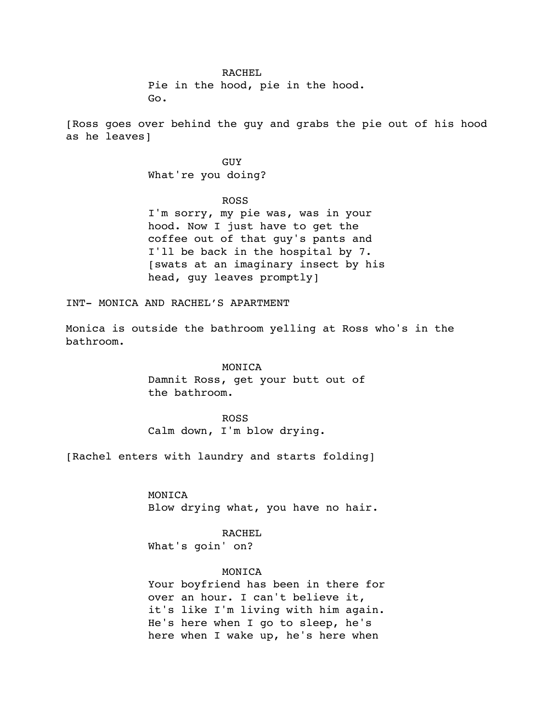### RACHEL

Pie in the hood, pie in the hood. Go.

[Ross goes over behind the guy and grabs the pie out of his hood as he leaves]

> GUY What're you doing?

ROSS I'm sorry, my pie was, was in your hood. Now I just have to get the coffee out of that guy's pants and I'll be back in the hospital by 7. [swats at an imaginary insect by his head, guy leaves promptly]

INT- MONICA AND RACHEL'S APARTMENT

Monica is outside the bathroom yelling at Ross who's in the bathroom.

# MONICA

Damnit Ross, get your butt out of the bathroom.

ROSS Calm down, I'm blow drying.

[Rachel enters with laundry and starts folding]

MONICA Blow drying what, you have no hair.

# RACHEL

What's goin' on?

# MONICA

Your boyfriend has been in there for over an hour. I can't believe it, it's like I'm living with him again. He's here when I go to sleep, he's here when I wake up, he's here when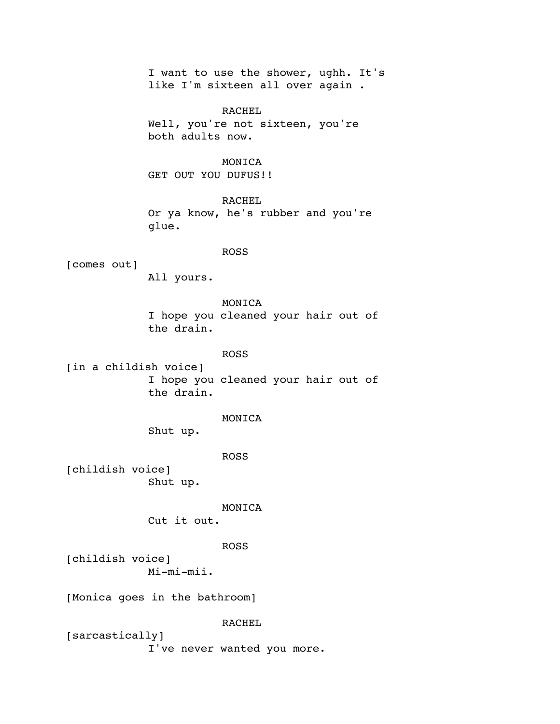I want to use the shower, ughh. It's like I'm sixteen all over again .

RACHEL Well, you're not sixteen, you're both adults now.

# MONICA

GET OUT YOU DUFUS!!

RACHEL Or ya know, he's rubber and you're glue.

## ROSS

[comes out]

All yours.

MONICA I hope you cleaned your hair out of the drain.

# ROSS

[in a childish voice] I hope you cleaned your hair out of the drain.

## MONICA

Shut up.

#### ROSS

[childish voice] Shut up.

### MONICA

Cut it out.

## ROSS

[childish voice] Mi-mi-mii.

[Monica goes in the bathroom]

### RACHEL

[sarcastically] I've never wanted you more.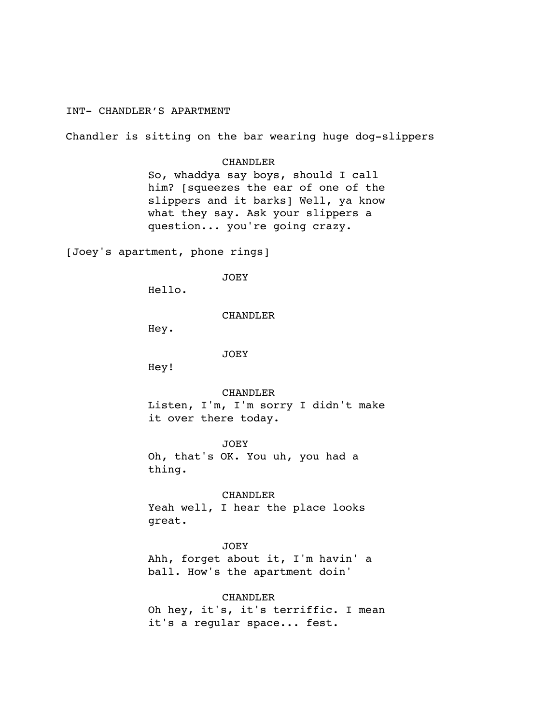# INT- CHANDLER'S APARTMENT

Chandler is sitting on the bar wearing huge dog-slippers

## CHANDLER

So, whaddya say boys, should I call him? [squeezes the ear of one of the slippers and it barks] Well, ya know what they say. Ask your slippers a question... you're going crazy.

[Joey's apartment, phone rings]

JOEY

Hello.

CHANDLER

Hey.

JOEY

Hey!

CHANDLER

Listen, I'm, I'm sorry I didn't make it over there today.

JOEY

Oh, that's OK. You uh, you had a thing.

CHANDLER

Yeah well, I hear the place looks great.

## JOEY

Ahh, forget about it, I'm havin' a ball. How's the apartment doin'

CHANDLER

Oh hey, it's, it's terriffic. I mean it's a regular space... fest.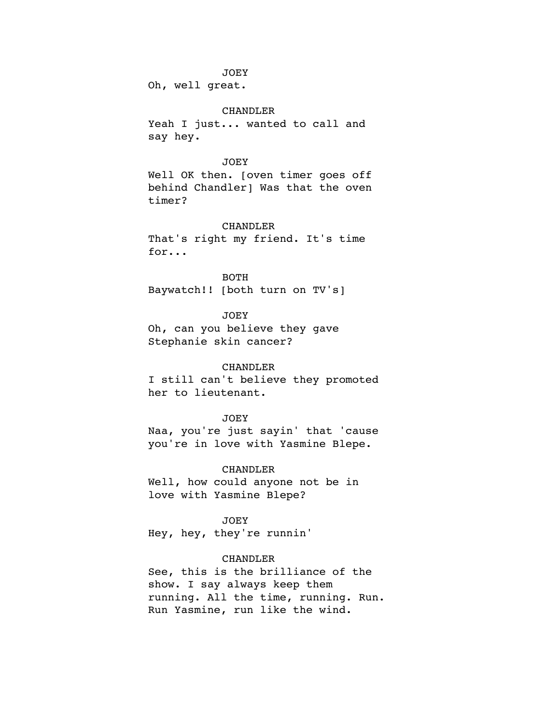#### JOEY

Oh, well great.

## CHANDLER

Yeah I just... wanted to call and say hey.

## JOEY

Well OK then. [oven timer goes off behind Chandler] Was that the oven timer?

## CHANDLER

That's right my friend. It's time for...

BOTH Baywatch!! [both turn on TV's]

JOEY

Oh, can you believe they gave Stephanie skin cancer?

## CHANDLER

I still can't believe they promoted her to lieutenant.

## JOEY

Naa, you're just sayin' that 'cause you're in love with Yasmine Blepe.

### CHANDLER

Well, how could anyone not be in love with Yasmine Blepe?

JOEY

Hey, hey, they're runnin'

## CHANDLER

See, this is the brilliance of the show. I say always keep them running. All the time, running. Run. Run Yasmine, run like the wind.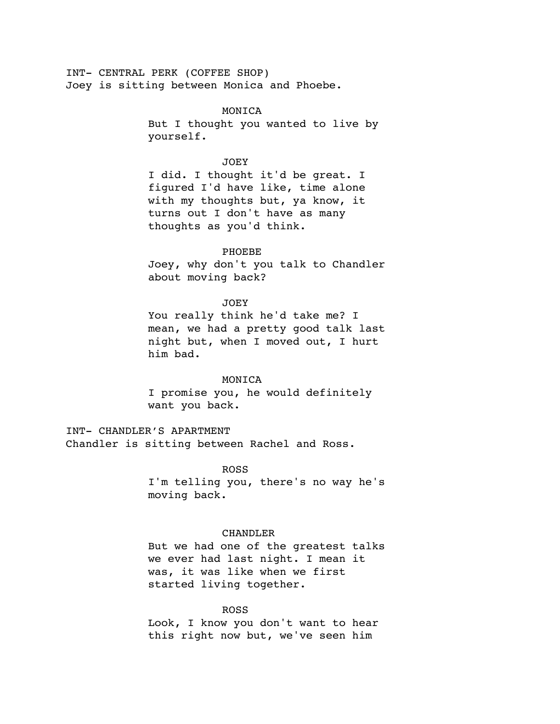INT- CENTRAL PERK (COFFEE SHOP) Joey is sitting between Monica and Phoebe.

> MONICA But I thought you wanted to live by yourself.

### JOEY

I did. I thought it'd be great. I figured I'd have like, time alone with my thoughts but, ya know, it turns out I don't have as many thoughts as you'd think.

## PHOEBE

Joey, why don't you talk to Chandler about moving back?

#### JOEY

You really think he'd take me? I mean, we had a pretty good talk last night but, when I moved out, I hurt him bad.

## MONICA

I promise you, he would definitely want you back.

INT- CHANDLER'S APARTMENT Chandler is sitting between Rachel and Ross.

## ROSS

I'm telling you, there's no way he's moving back.

## CHANDLER

But we had one of the greatest talks we ever had last night. I mean it was, it was like when we first started living together.

## ROSS

Look, I know you don't want to hear this right now but, we've seen him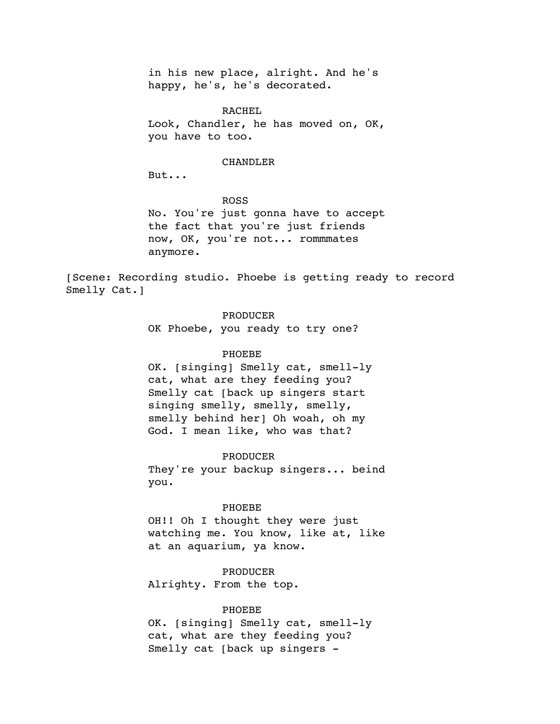in his new place, alright. And he's happy, he's, he's decorated.

RACHEL Look, Chandler, he has moved on, OK, you have to too.

### CHANDLER

But...

ROSS No. You're just gonna have to accept the fact that you're just friends now, OK, you're not... rommmates anymore.

[Scene: Recording studio. Phoebe is getting ready to record Smelly Cat.]

## PRODUCER

OK Phoebe, you ready to try one?

## PHOEBE

OK. [singing] Smelly cat, smell-ly cat, what are they feeding you? Smelly cat [back up singers start singing smelly, smelly, smelly, smelly behind her] Oh woah, oh my God. I mean like, who was that?

#### PRODUCER

They're your backup singers... beind you.

## PHOEBE

OH!! Oh I thought they were just watching me. You know, like at, like at an aquarium, ya know.

### PRODUCER

Alrighty. From the top.

### PHOEBE

OK. [singing] Smelly cat, smell-ly cat, what are they feeding you? Smelly cat [back up singers -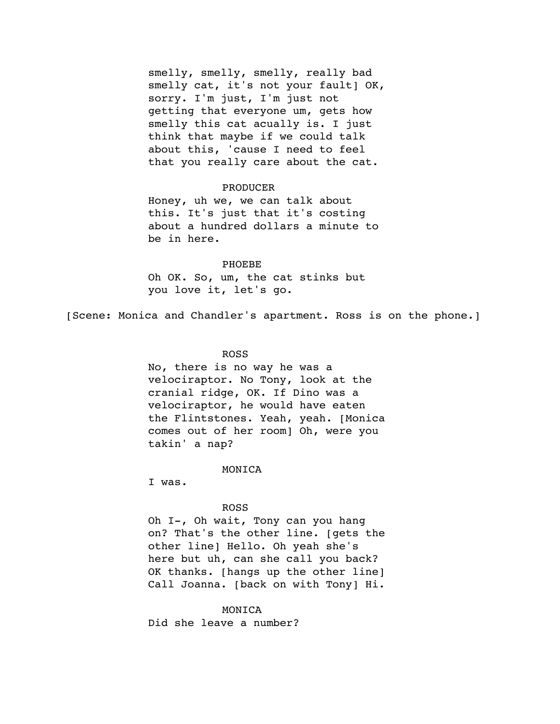smelly, smelly, smelly, really bad smelly cat, it's not your fault] OK, sorry. I'm just, I'm just not getting that everyone um, gets how smelly this cat acually is. I just think that maybe if we could talk about this, 'cause I need to feel that you really care about the cat.

## PRODUCER

Honey, uh we, we can talk about this. It's just that it's costing about a hundred dollars a minute to be in here.

#### PHOEBE

Oh OK. So, um, the cat stinks but you love it, let's go.

[Scene: Monica and Chandler's apartment. Ross is on the phone.]

## ROSS

No, there is no way he was a velociraptor. No Tony, look at the cranial ridge, OK. If Dino was a velociraptor, he would have eaten the Flintstones. Yeah, yeah. [Monica comes out of her room] Oh, were you takin' a nap?

### MONICA

I was.

## ROSS

Oh I-, Oh wait, Tony can you hang on? That's the other line. [gets the other line] Hello. Oh yeah she's here but uh, can she call you back? OK thanks. [hangs up the other line] Call Joanna. [back on with Tony] Hi.

### MONICA

Did she leave a number?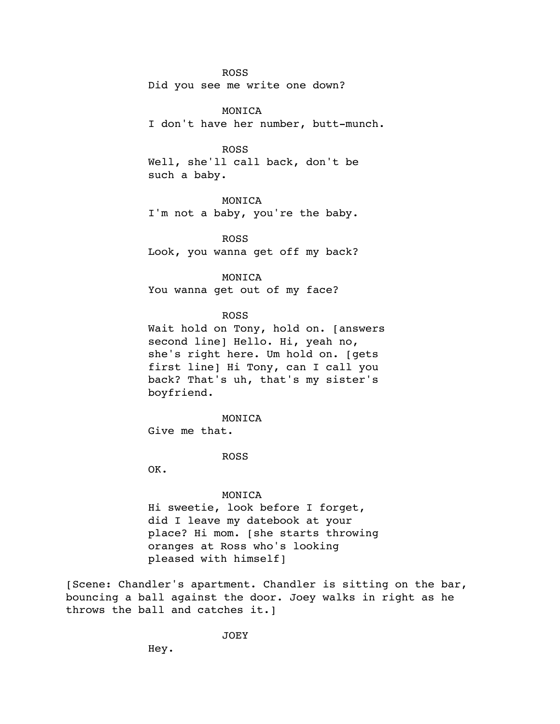### ROSS

Did you see me write one down?

### MONICA

I don't have her number, butt-munch.

#### ROSS

Well, she'll call back, don't be such a baby.

## MONICA

I'm not a baby, you're the baby.

ROSS Look, you wanna get off my back?

MONICA You wanna get out of my face?

### ROSS

Wait hold on Tony, hold on. [answers second line] Hello. Hi, yeah no, she's right here. Um hold on. [gets first line] Hi Tony, can I call you back? That's uh, that's my sister's boyfriend.

MONICA

Give me that.

#### ROSS

OK.

#### MONICA

Hi sweetie, look before I forget, did I leave my datebook at your place? Hi mom. [she starts throwing oranges at Ross who's looking pleased with himself]

[Scene: Chandler's apartment. Chandler is sitting on the bar, bouncing a ball against the door. Joey walks in right as he throws the ball and catches it.]

JOEY

Hey.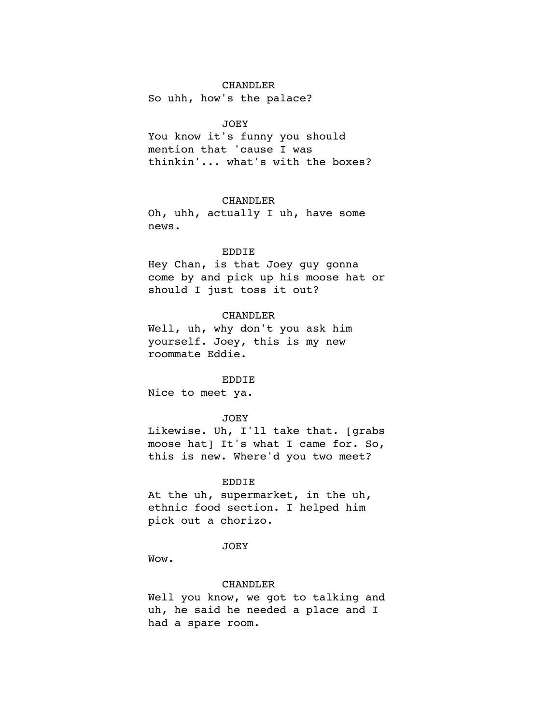So uhh, how's the palace?

## JOEY

You know it's funny you should mention that 'cause I was thinkin'... what's with the boxes?

## CHANDLER

Oh, uhh, actually I uh, have some news.

## EDDIE

Hey Chan, is that Joey guy gonna come by and pick up his moose hat or should I just toss it out?

## CHANDLER

Well, uh, why don't you ask him yourself. Joey, this is my new roommate Eddie.

## EDDIE

Nice to meet ya.

#### JOEY

Likewise. Uh, I'll take that. [grabs moose hat] It's what I came for. So, this is new. Where'd you two meet?

### EDDIE

At the uh, supermarket, in the uh, ethnic food section. I helped him pick out a chorizo.

### JOEY

Wow.

#### CHANDLER

Well you know, we got to talking and uh, he said he needed a place and I had a spare room.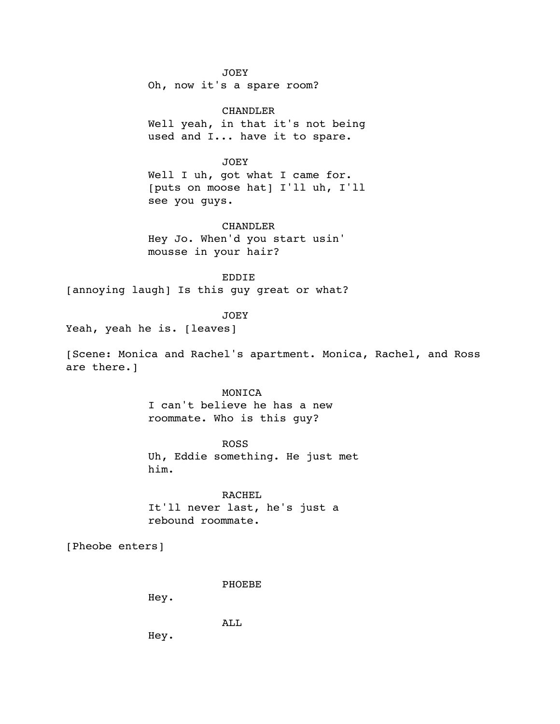JOEY

Oh, now it's a spare room?

CHANDLER Well yeah, in that it's not being used and I... have it to spare.

JOEY

Well I uh, got what I came for. [puts on moose hat] I'll uh, I'll see you guys.

### CHANDLER

Hey Jo. When'd you start usin' mousse in your hair?

EDDIE

[annoying laugh] Is this guy great or what?

**JOEY** 

Yeah, yeah he is. [leaves]

[Scene: Monica and Rachel's apartment. Monica, Rachel, and Ross are there.]

## MONICA

I can't believe he has a new roommate. Who is this guy?

ROSS Uh, Eddie something. He just met him.

RACHEL It'll never last, he's just a rebound roommate.

[Pheobe enters]

PHOEBE

Hey.

ALL

Hey.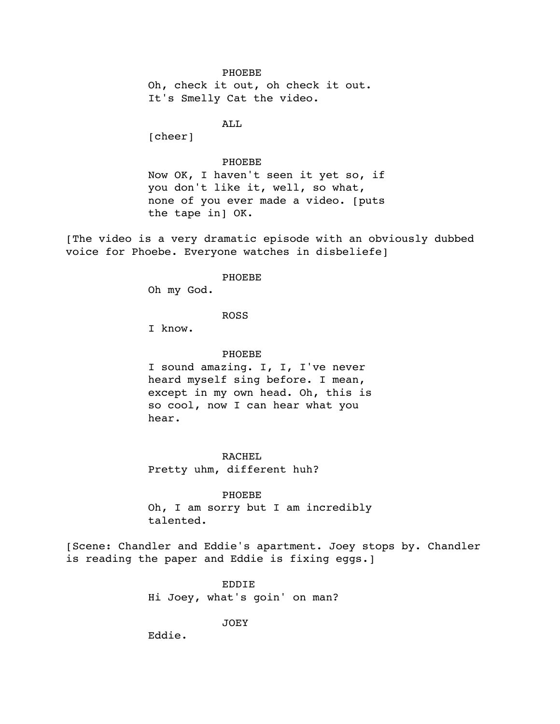PHOEBE Oh, check it out, oh check it out. It's Smelly Cat the video.

AT.T.

[cheer]

PHOEBE

Now OK, I haven't seen it yet so, if you don't like it, well, so what, none of you ever made a video. [puts the tape in] OK.

[The video is a very dramatic episode with an obviously dubbed voice for Phoebe. Everyone watches in disbeliefe]

### PHOEBE

Oh my God.

ROSS

I know.

PHOEBE

I sound amazing. I, I, I've never heard myself sing before. I mean, except in my own head. Oh, this is so cool, now I can hear what you hear.

RACHEL Pretty uhm, different huh?

PHOEBE Oh, I am sorry but I am incredibly talented.

[Scene: Chandler and Eddie's apartment. Joey stops by. Chandler is reading the paper and Eddie is fixing eggs.]

> EDDIE Hi Joey, what's goin' on man?

> > JOEY

Eddie.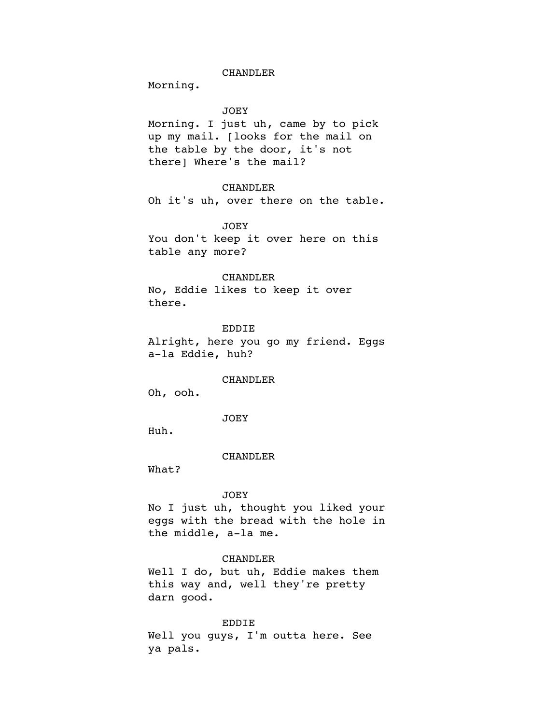Morning.

## JOEY

Morning. I just uh, came by to pick up my mail. [looks for the mail on the table by the door, it's not there] Where's the mail?

## CHANDLER

Oh it's uh, over there on the table.

## JOEY

You don't keep it over here on this table any more?

## CHANDLER

No, Eddie likes to keep it over there.

#### EDDIE

Alright, here you go my friend. Eggs a-la Eddie, huh?

#### CHANDLER

Oh, ooh.

JOEY

Huh.

#### CHANDLER

What?

### JOEY

No I just uh, thought you liked your eggs with the bread with the hole in the middle, a-la me.

### CHANDLER

Well I do, but uh, Eddie makes them this way and, well they're pretty darn good.

### EDDIE

Well you guys, I'm outta here. See ya pals.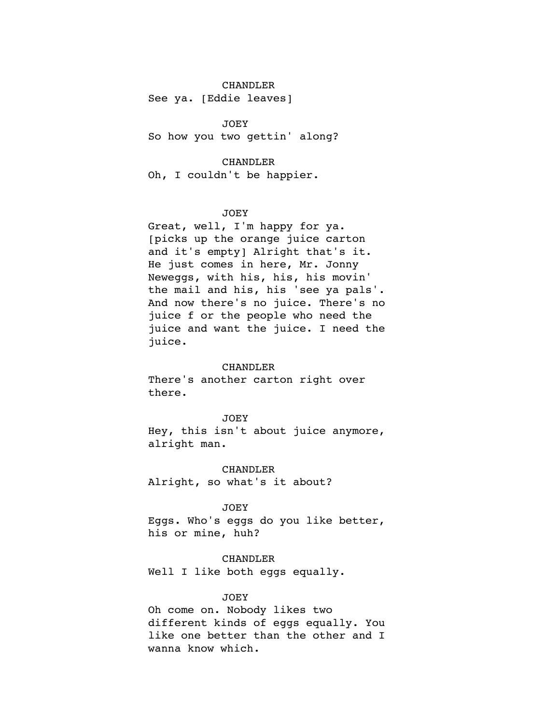See ya. [Eddie leaves]

JOEY So how you two gettin' along?

## CHANDLER

Oh, I couldn't be happier.

## JOEY

Great, well, I'm happy for ya. [picks up the orange juice carton and it's empty] Alright that's it. He just comes in here, Mr. Jonny Neweggs, with his, his, his movin' the mail and his, his 'see ya pals'. And now there's no juice. There's no juice f or the people who need the juice and want the juice. I need the juice.

### CHANDLER

There's another carton right over there.

### JOEY

Hey, this isn't about juice anymore, alright man.

CHANDLER Alright, so what's it about?

## JOEY

Eggs. Who's eggs do you like better, his or mine, huh?

### CHANDLER

Well I like both eggs equally.

## JOEY

Oh come on. Nobody likes two different kinds of eggs equally. You like one better than the other and I wanna know which.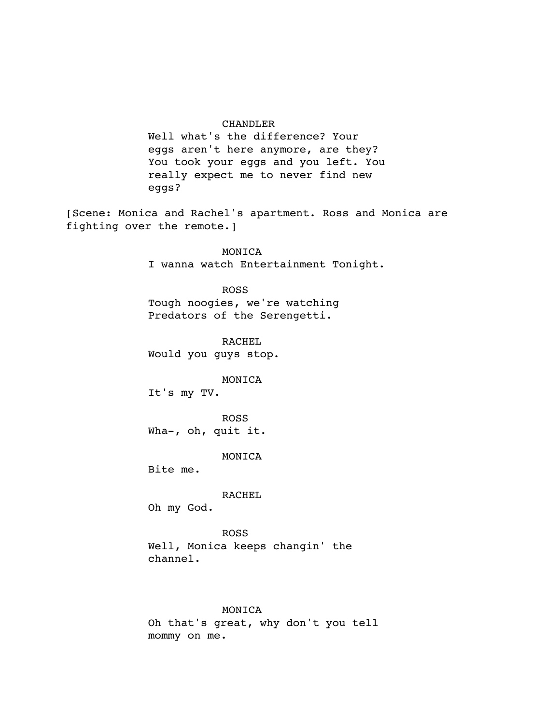Well what's the difference? Your eggs aren't here anymore, are they? You took your eggs and you left. You really expect me to never find new eggs?

[Scene: Monica and Rachel's apartment. Ross and Monica are fighting over the remote.]

> MONICA I wanna watch Entertainment Tonight.

ROSS Tough noogies, we're watching Predators of the Serengetti.

RACHEL Would you guys stop.

MONICA

It's my TV.

ROSS Wha-, oh, quit it.

MONICA

Bite me.

RACHEL

Oh my God.

ROSS Well, Monica keeps changin' the channel.

### MONICA

Oh that's great, why don't you tell mommy on me.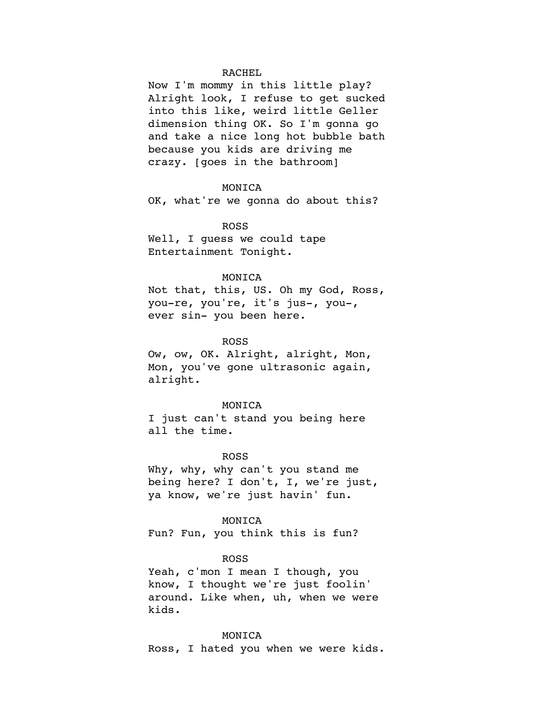## RACHEL

Now I'm mommy in this little play? Alright look, I refuse to get sucked into this like, weird little Geller dimension thing OK. So I'm gonna go and take a nice long hot bubble bath because you kids are driving me crazy. [goes in the bathroom]

### MONICA

OK, what're we gonna do about this?

### ROSS

Well, I guess we could tape Entertainment Tonight.

## MONICA

Not that, this, US. Oh my God, Ross, you-re, you're, it's jus-, you-, ever sin- you been here.

## ROSS

Ow, ow, OK. Alright, alright, Mon, Mon, you've gone ultrasonic again, alright.

#### MONICA

I just can't stand you being here all the time.

#### ROSS

Why, why, why can't you stand me being here? I don't, I, we're just, ya know, we're just havin' fun.

MONICA

Fun? Fun, you think this is fun?

#### ROSS

Yeah, c'mon I mean I though, you know, I thought we're just foolin' around. Like when, uh, when we were kids.

### MONICA

Ross, I hated you when we were kids.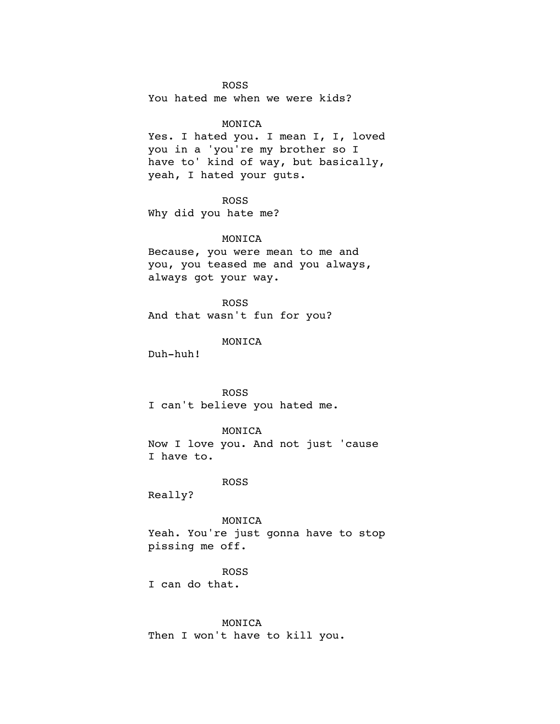## ROSS

You hated me when we were kids?

### MONICA

Yes. I hated you. I mean I, I, loved you in a 'you're my brother so I have to' kind of way, but basically, yeah, I hated your guts.

## ROSS

Why did you hate me?

### MONICA

Because, you were mean to me and you, you teased me and you always, always got your way.

ROSS And that wasn't fun for you?

## MONICA

Duh-huh!

# ROSS

I can't believe you hated me.

## MONICA

Now I love you. And not just 'cause I have to.

## ROSS

Really?

### MONICA

Yeah. You're just gonna have to stop pissing me off.

#### ROSS

I can do that.

## MONICA

Then I won't have to kill you.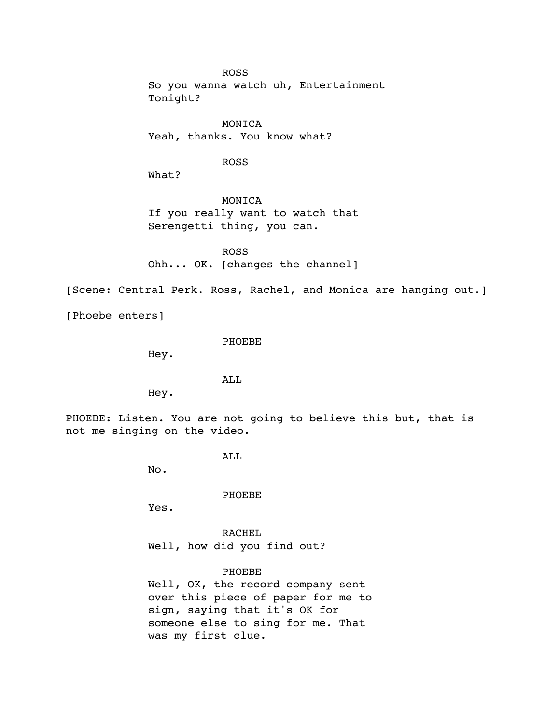ROSS

So you wanna watch uh, Entertainment Tonight?

MONICA Yeah, thanks. You know what?

ROSS

What?

MONICA If you really want to watch that Serengetti thing, you can.

ROSS Ohh... OK. [changes the channel]

[Scene: Central Perk. Ross, Rachel, and Monica are hanging out.]

[Phoebe enters]

PHOEBE

Hey.

ALL

Hey.

PHOEBE: Listen. You are not going to believe this but, that is not me singing on the video.

ALL

No.

PHOEBE

Yes.

RACHEL Well, how did you find out?

PHOEBE Well, OK, the record company sent over this piece of paper for me to sign, saying that it's OK for someone else to sing for me. That was my first clue.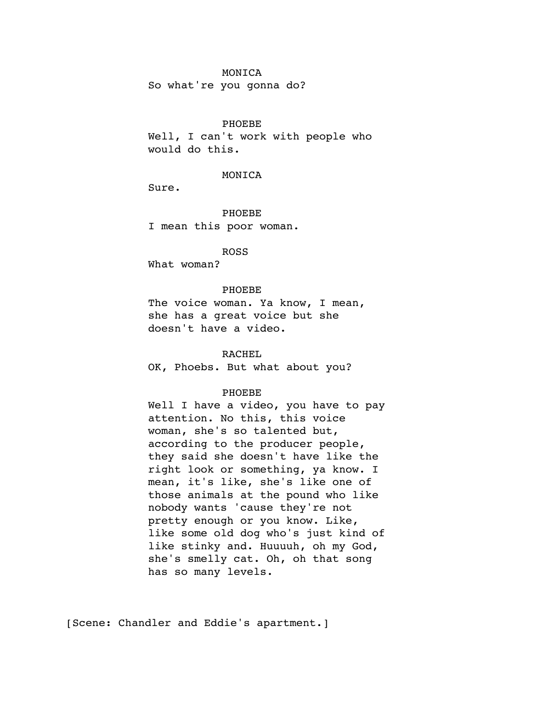### MONICA

So what're you gonna do?

### PHOEBE

Well, I can't work with people who would do this.

### MONICA

Sure.

PHOEBE I mean this poor woman.

ROSS

What woman?

### PHOEBE

The voice woman. Ya know, I mean, she has a great voice but she doesn't have a video.

## RACHEL

OK, Phoebs. But what about you?

### PHOEBE

Well I have a video, you have to pay attention. No this, this voice woman, she's so talented but, according to the producer people, they said she doesn't have like the right look or something, ya know. I mean, it's like, she's like one of those animals at the pound who like nobody wants 'cause they're not pretty enough or you know. Like, like some old dog who's just kind of like stinky and. Huuuuh, oh my God, she's smelly cat. Oh, oh that song has so many levels.

[Scene: Chandler and Eddie's apartment.]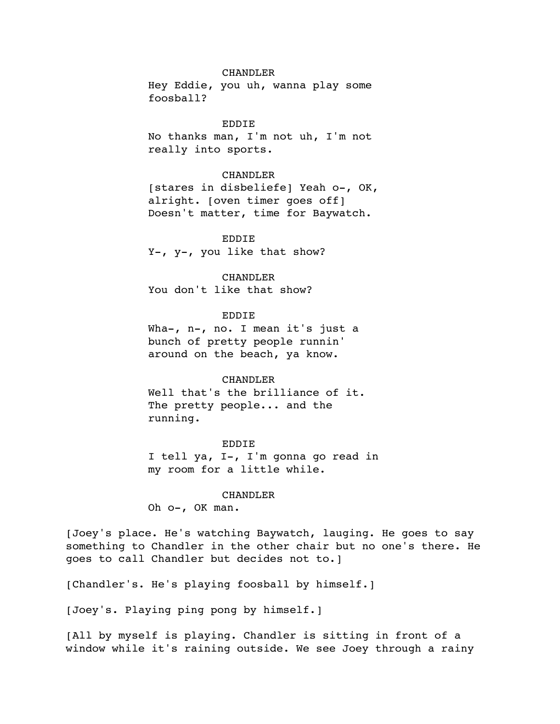Hey Eddie, you uh, wanna play some foosball?

EDDIE No thanks man, I'm not uh, I'm not really into sports.

### CHANDLER

[stares in disbeliefe] Yeah o-, OK, alright. [oven timer goes off] Doesn't matter, time for Baywatch.

EDDIE Y-, y-, you like that show?

# CHANDLER

You don't like that show?

## EDDIE

Wha-, n-, no. I mean it's just a bunch of pretty people runnin' around on the beach, ya know.

#### CHANDLER

Well that's the brilliance of it. The pretty people... and the running.

## EDDIE

I tell ya, I-, I'm gonna go read in my room for a little while.

### CHANDLER

Oh o-, OK man.

[Joey's place. He's watching Baywatch, lauging. He goes to say something to Chandler in the other chair but no one's there. He goes to call Chandler but decides not to.]

[Chandler's. He's playing foosball by himself.]

[Joey's. Playing ping pong by himself.]

[All by myself is playing. Chandler is sitting in front of a window while it's raining outside. We see Joey through a rainy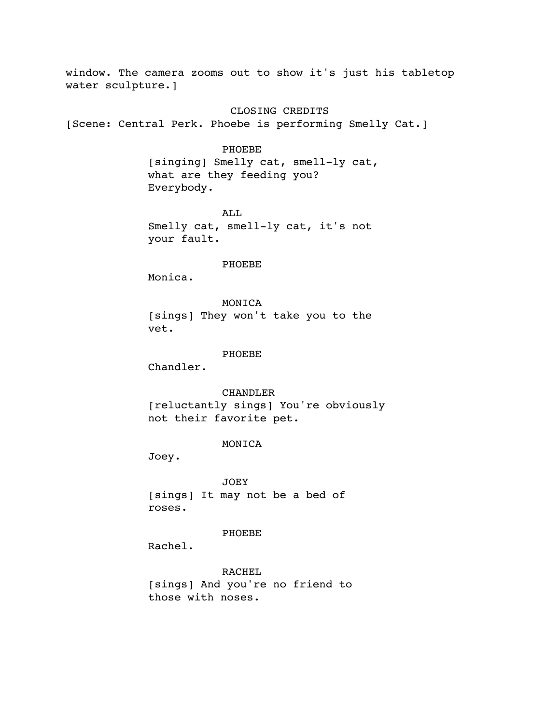window. The camera zooms out to show it's just his tabletop water sculpture.]

CLOSING CREDITS

[Scene: Central Perk. Phoebe is performing Smelly Cat.]

### PHOEBE

[singing] Smelly cat, smell-ly cat, what are they feeding you? Everybody.

ALL Smelly cat, smell-ly cat, it's not your fault.

#### PHOEBE

Monica.

MONICA [sings] They won't take you to the vet.

## PHOEBE

Chandler.

### CHANDLER

[reluctantly sings] You're obviously not their favorite pet.

### MONICA

Joey.

JOEY [sings] It may not be a bed of roses.

## PHOEBE

Rachel.

RACHEL [sings] And you're no friend to those with noses.